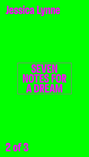

# Jessica Lynne

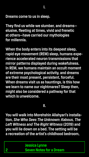

**I.**

#### **Dreams come to us in sleep.**

**They find us while we slumber, and dreams elusive, fleeting at times, vivid and frenetic at others—have carried our mythologies for millennia.** 

**When the body enters into its deepest sleep, rapid eye movement (REM) sleep, humans experience accelerated neuron transmissions that mirror patterns displayed during wakefulness. In REM, we humans maintain an occult moment of extreme psychological activity, and dreams are their most present, persistent, forceful. When dreams visit us as hauntings, is this how we learn to name our nightmares? Sleep then, might also be considered a pathway for that which is unwelcome.**

### **II.**

**You will walk into Morehshin Allahyari's installation,** *She Who Sees The Unknown***:** *Kabous, The Left Witness and The Right Witness* **(2019) and** 

#### **you will lie down on a bed. The setting will be a recreation of the artist's childhood bedroom,**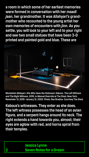**Jessica Lynne 3 Seven Notes for a Dream**

**a room in which some of her earliest memories were formed in conversation with her** *maadi jaan***, her grandmother. It was Allahyari's grandmother who recounted to the young artist her own memories of encounters with** *jinn***. As you settle, you will look to your left and to your right and see two small statues that have been 3-D printed and painted gold and blue. These are** 



**Kabous's witnesses. They enter as she does. The left witness possesses the head of an avian figure, and a serpent hangs around its neck. The right extends a hand towards you, almost; their eyes are aglow with red, and horns spiral from** 

#### **their temples.**

**Morehshin Allahyari,** *She Who Sees the Unknown: Kabous, The Left Witness and The Right Witness***, 2019, in** *Manual Override* **at The Shed, New York, November 13, 2019–January 12, 2020. Photo: Dan Bradica. Courtesy The Shed.**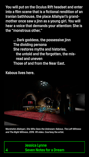**Jessica Lynne 4 Seven Notes for a Dream**

**You will put on the Oculus Rift headset and enter into a film scene that is a fictional rendition of an Iranian bathhouse, the place Allahyari's grandmother once saw a jinn as a young girl. You will hear a voice that demands your attention: She is the "monstrous other,"** 

**… Dark goddess, the possessive jinn The dividing persona She restores myths and histories, the untold and the forgotten, the misread and uneven Those of and from the Near East.** 

#### **Kabous lives here.**



#### **Morehshin Allahyari,** *She Who Sees the Unknown: Kabous, The Left Witness and The Right Witness***, 2019. VR video. Courtesy the artist.**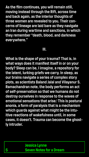

**As the film continues, you will remain still, moving instead through the Rift, across time and back again, as the interior thoughts of three women are revealed to you. Their concerns of lineage are laid bare as they navigate an Iran during wartime and sanctions, in which they remember "death, blood, and darkness everywhere."** 

# **III.**

**What is the shape of your trauma? That is, in what ways does it manifest itself in or on your body? Sleep can be, I imagine, a repository for the latent, lurking griefs we carry. In sleep, as our brains navigate a series of complex story plots, as scientists Baland Jalal and Vilayanur S. Ramachandran note, the body performs an act of self-preservation so that we humans do not destroy ourselves in response to the waves of emotional sensations that arise.1 This is postural anonia, a form of paralysis that is a mechanism which guards against what might be the intuitive reactions of wakefulness until, in some cases, it doesn't. Trauma can become the ghostly intruder.**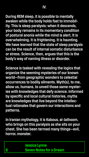**Jessica Lynne 6 Seven Notes for a Dream**

**During REM sleep, it is possible to mentally awaken while the body holds fast to immobility. This is sleep paralysis; when it descends, your body remains in its momentary condition of postural anonia while the mind is alert. It is overwhelming. It is frightening. It is haunting. We have learned that the state of sleep paralysis can be the result of internal somatic disturbance or stress. Science, then, argues that this is the body's way of naming illness or disorder.** 

**Science is tasked with revealing the logics that organize the seeming mysteries of our known world—from geographic wonders to celestial occurrences to bodily ailments. Myth(s), to me, allow us, humans, to unveil those same mysteries with knowledges that defy science. Informed by specific and local cultural histories, myths are knowledges that live beyond the intellectual rationales that govern our interactions and patterns.** 

**In Iranian mythology, it is Kabous, al-Jathoom, who brings on this paralysis as she sits on your** 

#### **chest. She has been termed many things—evil,**

#### **horror, monster.**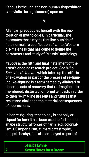**Jessica Lynne 7 Seven Notes for a Dream**

#### **Kabous is the jinn, the non-human shapeshifter, who visits the nightmare(s) upon us.**

**V.**

**Allahyari preoccupies herself with the restoration of mythologies. In particular, she excavates those myths that live outside of "the normal," a codification of white, Western cis-maleness that has come to define the parameters and study of "classic" mythology.**

*Kabous* **is the fifth and final installment of the artist's ongoing research project,** *She Who Sees the Unknown***, which takes up the efforts of excavation as part of the process of re-figuring. Re-figuring is a term named by Allahyari to describe acts of recovery that re-imagine misremembered, distorted, or forgotten pasts in order to then re-imagine presents and futures that resist and challenge the material consequences of oppressions.**

**In her re-figuring, technology is not only critiqued for how it has been used to further and shape structural forces of harm (e.g. colonial-**

#### **ism, US imperialism, climate catastrophe, and patriarchy), it is also employed as part of**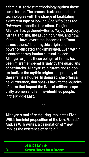**Jessica Lynne 8 Seven Notes for a Dream**

**a feminist-activist methodology against those same forces. The process tasks our unstable technologies with the charge of facilitating a different type of looking.** *She Who Sees the Unknown* **embodies this ethos. The jinn Allahyari has gathered—Huma, Ya'jooj Maj'jooj, Aisha Qandisha, the Laughing Snake, and now, Kabous—have, over time, become the "monstrous others," their mythic origin and power obfuscated and diminished. Even within a contemporary Iranian cultural lexicon, Allahyari argues, these beings, at times, have been misremembered largely by the guardians of patriarchy. Allahyari re-situates and re-contextualizes the mythic origins and potency of these female figures. In doing so, she offers a new utterance, that speaks back to the legacies of harm that impact the lives of millions, especially women and femme-identified people, in the Middle East.** 

## **VI.**

**Allahyari's tool of re-figuring implicates Elvia Wilk's feminist proposition of the New Weird.2 And, as Wilk writes, a designation of "new"** 

#### **implies the existence of an "old."**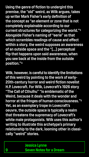**Jessica Lynne 9 Seven Notes for a Dream**

**Using the genre of fiction to undergird this premise, the "old" weird, as Wilk argues, takes up writer Mark Fisher's early definition of the concept as "an element or zone that is not completely explainable according to our current structures for categorizing the world."3 Alongside Fisher's naming of "eerie" as that which scrambles readings of cause and effect within a story, the weird supposes an awareness of an outside space and the "[…] perceptual flip that happens upon said awareness, when you see back at the inside from the outside position."4**

**Wilk, however, is careful to identify the limitations of this weird by pointing to the work of early-20th-century horror and weird fiction novelist H.P. Lovecraft. For Wilk, Lovecraft's 1926 story "The Call of Cthulhu" "is emblematic of the Weird, because it deals with the wonder and horror at the fringes of human consciousness."5 Yet, as an exemplary trope in Lovecraft's oeuvre, the outside space is typically a realm that threatens the supremacy of Lovecraft's white male protagonists. Wilk uses this author's writing to illustrate this archetype's primary** 

#### **relationship to the dark, looming other in classically "weird" stories.**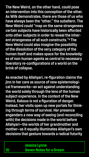**Jessica Lynne 10 Seven Notes for a Dream**

**The New Weird, on the other hand, could pose an intervention into this conception of the other. As Wilk demonstrates, there are those of us who have always been the "other," the subaltern. The New Weird could "map on the same strangeness certain subjects have historically been afforded onto other subjects in order to reveal the inherent strangeness of all such constructs."6 The New Weird could also imagine the possibility of the dissolution of the very category of the human itself and makes space for the knowledges of non-human agents as central to necessary liberatory re-configurations of a world on the** 

# **brink of collapse.**

**As enacted by Allahyari, re-figuration claims the jinn in her care as source of new epistemological frameworks—an act against understanding the world solely through the lens of the human subject experience. In the context of the New Weird, Kabous is not a figuration of danger. Instead, her visits open up new portals for thinking through terms of survival. Her presence engenders a new way of seeing (and reconciling with) the decisions made in the world before Allahyari—the worlds of her grandmother and** 

#### **mother—as it equally illuminates Allahyari's own decisions that gesture towards a radical futurity**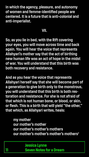**Jessica Lynne 11 Seven Notes for a Dream**

**in which the agency, pleasure, and autonomy of women and femme-identified people are centered. It is a future that is anti-colonial and anti-imperialist.** 

## **VII.**

**So, as you lie in bed, with the Rift covering your eyes, you will move across time and back again. You will hear the voice that represents Allahyari's mother say that the act of birthing new human life was an act of hope in the midst of war. You will understand that this birth was** 

# **both recovery and resistance.**

**And as you hear the voice that represents Allahyari herself say that she will become part of a generation to give birth only to the monstrous, you will understand that this birth is both restoration and resistance. For she is not afraid of that which is not human bone, or blood, or skin, or flesh. This is a birth that will yield "the other," that which, as Allahyari writes, heals:** 

# **my mother our mother's mother**

#### **our mother's mother's mothers our mother's mother's mother's mothers7**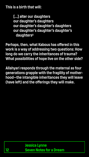

#### **This is a birth that will:**

**[...] alter our daughters our daughter's daughters our daughter's daughter's daughters our daughter's daughter's daughter's daughters8**

**Perhaps, then, what Kabous has offered in this work is a way of addressing two questions: How long do we carry the inheritances of trauma? What possibilities of hope live on the other side?**

**Allahyari responds through the maternal as four generations grapple with the fragility of motherhood—the intangible inheritances they will leave (have left) and the offerings they will make.**